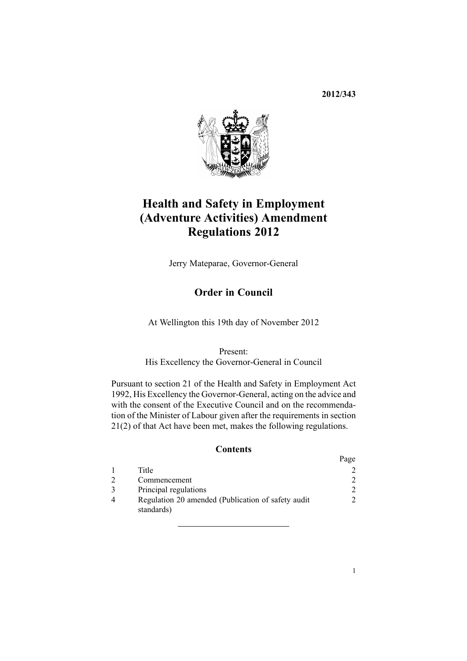**2012/343**



# **Health and Safety in Employment (Adventure Activities) Amendment Regulations 2012**

Jerry Mateparae, Governor-General

# **Order in Council**

At Wellington this 19th day of November 2012

Present: His Excellency the Governor-General in Council

Pursuant to [section](http://www.legislation.govt.nz/pdflink.aspx?id=DLM279280) 21 of the Health and Safety in Employment Act 1992, His Excellency the Governor-General, acting on the advice and with the consent of the Executive Council and on the recommendation of the Minister of Labour given after the requirements in section 21(2) of that Act have been met, makes the following regulations.

#### **Contents**

|                                                                  | Page                        |
|------------------------------------------------------------------|-----------------------------|
| Title                                                            |                             |
| Commencement                                                     |                             |
| Principal regulations                                            | $\mathcal{D}_{\mathcal{L}}$ |
| Regulation 20 amended (Publication of safety audit<br>standards) |                             |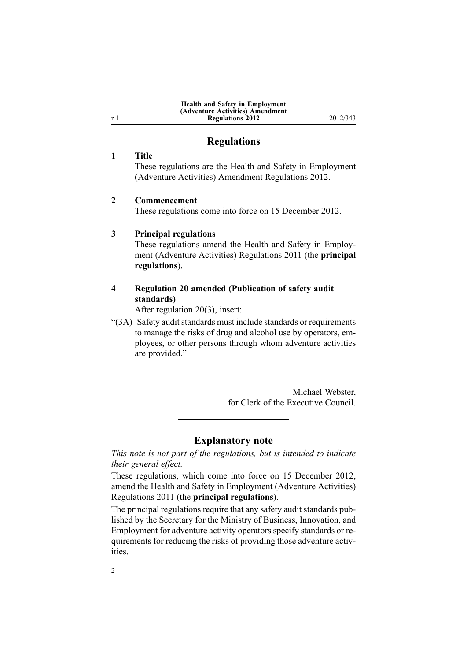| <b>Health and Safety in Employment</b> |
|----------------------------------------|
| (Adventure Activities) Amendment       |
| <b>Regulations 2012</b>                |

**Regulations 2012** 2012/343

### **Regulations**

#### **1 Title**

These regulations are the Health and Safety in Employment (Adventure Activities) Amendment Regulations 2012.

#### **2 Commencement**

These regulations come into force on 15 December 2012.

#### **3 Principal regulations**

These regulations amend the Health and Safety in [Employ](http://www.legislation.govt.nz/pdflink.aspx?id=DLM3961551)ment (Adventure Activities) [Regulations](http://www.legislation.govt.nz/pdflink.aspx?id=DLM3961551) 2011 (the **principal regulations**).

## **4 Regulation 20 amended (Publication of safety audit standards)**

After regulation [20\(3\)](http://www.legislation.govt.nz/pdflink.aspx?id=DLM3961505), insert:

"(3A) Safety audit standards must include standards or requirements to manage the risks of drug and alcohol use by operators, employees, or other persons through whom adventure activities are provided."

> Michael Webster for Clerk of the Executive Council.

#### **Explanatory note**

*This note is not par<sup>t</sup> of the regulations, but is intended to indicate their general effect.*

These regulations, which come into force on 15 December 2012, amend the Health and Safety in [Employment](http://www.legislation.govt.nz/pdflink.aspx?id=DLM3961551) (Adventure Activities) [Regulations](http://www.legislation.govt.nz/pdflink.aspx?id=DLM3961551) 2011 (the **principal regulations**).

The principal regulations require that any safety audit standards published by the Secretary for the Ministry of Business, Innovation, and Employment for adventure activity operators specify standards or requirements for reducing the risks of providing those adventure activities.

<span id="page-1-0"></span><sup>r</sup> 1